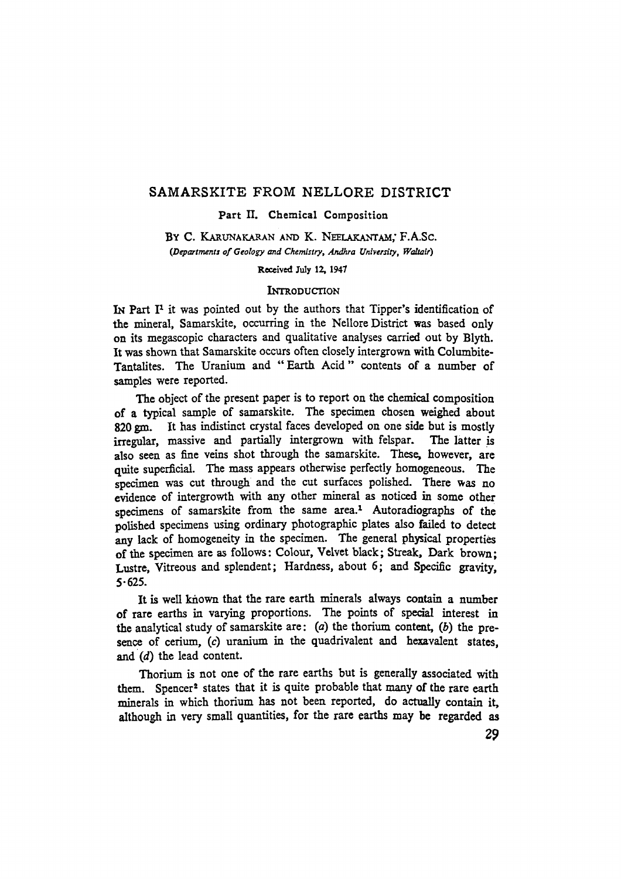# **SAMARSKITE FROM NELLORE DISTRICT**

#### **Part II. Chemical Composition**

BY C. KARUNAKARAN AND K. NEELAKANTAM, F.A.Sc. *(Departments of Geology and Chemistry, Andhra University, Waltair)* 

**Received July 12, 1947** 

# **INTRODUCTION**

IN Part I<sup>1</sup> it was pointed out by the authors that Tipper's identification of the mineral, Samarskite, occurring in the Nellore District was based only on its megascopic characters and qualitative analyses carried out by Blyth. **Ir was shown that Samarskite occurs often closely intergrown with Columbite-Tantalites. The Uranium and "Earth Acid" eontents of a number of samples were reported.** 

**The object of the present paper is to report on the chemieal eomposition of a typieal sample of samarskite. The specimen ehosen weighed about**  820 gm. It has indistinct crystal faces developed on one side but is mostly **irregular, massive and partially intergrown with felspar. The latter is also seen as fine veins shot through the samarskite. These, however, are quite superficial. The mass appears otherwise perfeetly homogeneous. The specimen was cut through and the eut surfaces polished. There was no evidente of intergrowth with any other mineral as noticed in some other**  specimens of samarskite from the same area.<sup>1</sup> Autoradiographs of the polished specimens using ordinary photographic plates also failed to detect **any laek of homogeneity in the speeimen. The general physical properties of the speeimen areas follows: Colour, Velvet black; Streak, Dark brown;**  Lustre, Vitreous and splendent; Hardness, about 6; and Specific gravity, **5-625.** 

It is well known that the rare earth minerals always contain a number **of rare earths in varying proportions. The points of special interest in the analytieal study of samarskite are: (a) the thorium eontent, (b) the pre**sence of cerium, (c) uranium in the quadrivalent and hexavalent states. **and (d) the lead eontent.** 

Thorium is not one of the rare earths but is generally associated with them. Spencer<sup>2</sup> states that it is quite probable that many of the rare earth minerals in which thorium has not been reported, do actually contain it, although in very small quantities, for the rare earths may be regarded as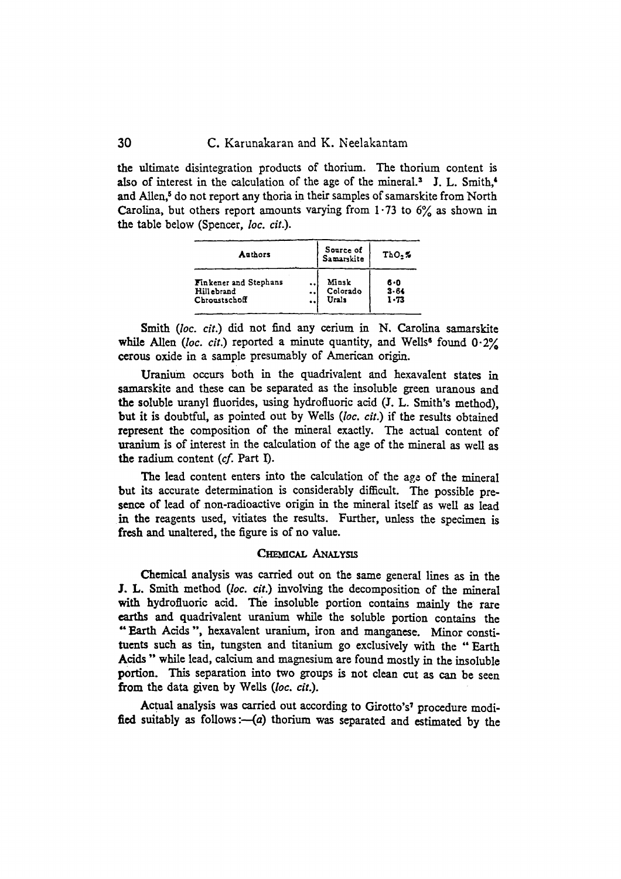the ultimate disintegration products of thorium. The thorium content is also of interest in the calculation of the age of the mineral.<sup>3</sup> J. L. Smith,<sup>4</sup> and Allen,<sup>5</sup> do not report any thoria in their samples of samarskite from North **Carolina, but others report amounts varying from**  $1.73$  **to**  $6\%$  **as shown in the hable below (Spencer, loc.** *cit.).* 

| Authors               | Source of<br>Samarskite | $ThO2$ % |
|-----------------------|-------------------------|----------|
| Finkener and Stephans | Minsk                   | 6.0      |
| Hill ebrand           | Colorado                | $3 - 64$ |
| Chroustschoff         | Urals                   | $1 - 73$ |

**Smith (loc. cit.)** did not find any cerium in N. Carolina samarskite while Allen *(loc. cit.)* reported a minute quantity, and Wells<sup>6</sup> found  $0.2\%$ cerous oxide in a sample presumably of American origin.

Uranium occurs both in the quadrivalent and hexavalent states in **samarskite and these can be separated as the insoluble green uranous and**  the soluble uranyl fluorides, using hydrofluoric acid (J. L. Smith's method). **but ir is doubfful, as pointed out by WeUs** *(loo. cit.)* **ir the results obtained represent the composition of the mineral exactly. The actual content of**  uranium is of interest in the calculation of the age of the mineral as well as **the radium content (cf. Part I).** 

**The lead content enters into the calculation of the age, of the mineral**  but its accurate determination is considerably difficult. The possible presence of lead of non-radioactive origin in the mineral itself as well as lead **in the reagents used, vitiates the results. Further, unless the specimen is fresh and unaltered, the figure is of no value.** 

# **CHEMICAL ANALYSIS**

Chemical analysis was carried out on the same general lines as in the **J. L. Smith method** *(loc. cit.)* **involving the decomposition of the mineral**  with hydrofluoric acid. The insoluble portion contains mainly the rare **eaxths and quadrivalent uranium while the soluble portion contains the "Earth Acids ", hexavalent uranium, iron and mangancse. Minor constituents such as tin, tungsten and titanium go exclusively with the "Earth**  Acids " while lead, calcium and magnesium are found mostly in the insoluble **portion. This separation into two groups is not clean cut as can be seen from the data given by WeUs** *(loc. cit.).* 

Actual analysis was carried out according to Girotto's<sup>7</sup> procedure modified suitably as follows :- (a) thorium was separated and estimated by the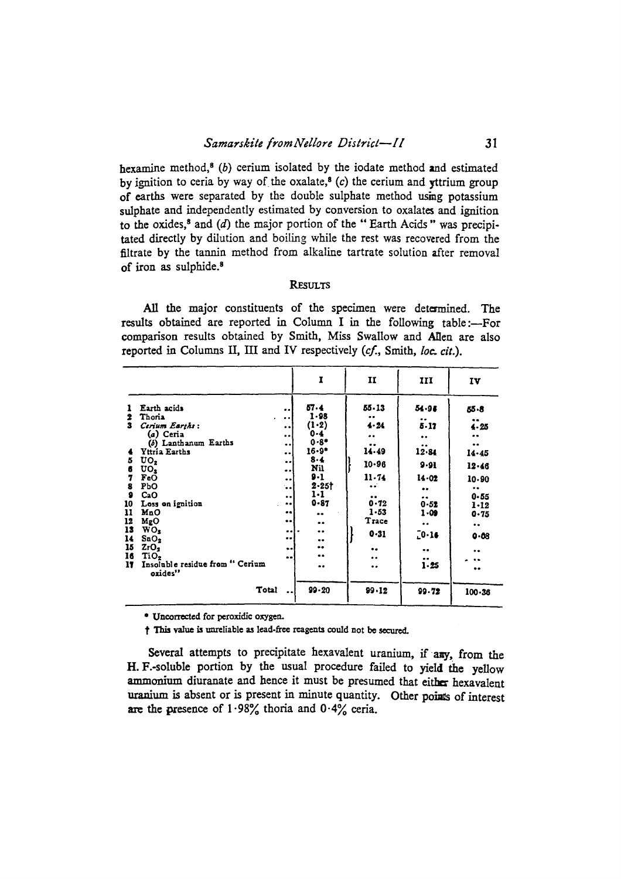hexamine method,<sup>8</sup> (b) cerium isolated by the iodate method and estimated by ignition to ceria by way of the oxalate,<sup>8</sup> (c) the cerium and vitrium group of earths were separated by the double sulphate method using potassium sulphate and independently estimated by conversion to oxalates and ignition to the oxides,<sup>8</sup> and (d) the major portion of the "Earth Acids" was precipitated directly by dilution and boiling while the rest was recovered from the filtrate by the tannin method from alkaline tartrate solution after removal of iron as sulphide.<sup>8</sup>

# **RESULTS**

All the major constituents of the specimen were determined. The results obtained are reported in Column I in the following table:--For comparison results obtained by Smith, Miss Swallow and Allen are also reported in Columns II, III and IV respectively (cf., Smith, loc. cit.).

|                                                                                                       |                                                                                                                                                                                                                     |                                                                                                                                                                                     | $\mathbf{r}$                                                                                                                                                    | II                                                                                                                           | III                                                                                                                          | IV                                                                                                                                |
|-------------------------------------------------------------------------------------------------------|---------------------------------------------------------------------------------------------------------------------------------------------------------------------------------------------------------------------|-------------------------------------------------------------------------------------------------------------------------------------------------------------------------------------|-----------------------------------------------------------------------------------------------------------------------------------------------------------------|------------------------------------------------------------------------------------------------------------------------------|------------------------------------------------------------------------------------------------------------------------------|-----------------------------------------------------------------------------------------------------------------------------------|
| 2<br>$\mathbf{3}$<br>5<br>6<br>7<br>8<br>$\mathbf{Q}$<br>10<br>11<br>12<br>13<br>14<br>15<br>16<br>17 | Earth acids<br>Thona<br>$\bullet$<br>Cerium Earths:<br>(a) Ceria<br>(b) Lanthanum Earths<br>Yttria Earths<br>UO,<br>$\mathbf{U}\mathbf{O}_{\mathbf{S}}$<br>FeO<br>PbO<br>CaO<br>Loss on ignition<br>MnO<br>$M_{R}O$ | <br>$\cdot$ $\cdot$<br><br>$\bullet$<br>$\bullet$<br>$\ddot{\phantom{0}}$<br>$\bullet \bullet$<br><br>$\bullet$<br>٠.<br>$\bullet$<br>$\bullet$ $\bullet$<br><br>$\bullet\,\bullet$ | 57.4<br>$1 - 98$<br>$(1-2)$<br>$0 - 4$<br>$0 - 8 +$<br>$16 - 9^*$<br>8.4<br>Nil<br>$9 - 1$<br>$2 - 251$<br>$1 - 1$<br>$0 - 87$<br>$\bullet\bullet$<br>$\bullet$ | $55 - 13$<br>$\bullet$<br>4.24<br><br>14.49<br>$10 - 96$<br>$11 - 74$<br>$\bullet$<br>$\bullet$<br>0.72<br>$1 - 53$<br>Trace | 54.96<br><br>$5 - 17$<br>$\bullet$ .<br><br>12.84<br>$9 - 91$<br>14.02<br>$\bullet\bullet$<br><br>$0 - 52$<br>$1 - 09$<br>٠. | 55.8<br><br>$4 - 25$<br>$\bullet \bullet$<br>$\bullet$<br>$14 - 45$<br>12.46<br>10-90<br><br>$0 - 55$<br>$1 - 12$<br>$0 - 75$<br> |
|                                                                                                       | WO <sub>3</sub><br>SnO <sub>2</sub><br>2rO <sub>2</sub><br>TiO <sub>2</sub><br>Insoluble residue from " Cerium<br>oxides"<br>Total                                                                                  | <br>$\bullet$<br>$\bullet\bullet$<br><br>$\bullet \bullet$                                                                                                                          | <br>$\bullet$<br><br>$\bullet \bullet$<br>$\bullet\bullet$<br>$99 - 20$                                                                                         | $0 - 31$<br>$\bullet\bullet$<br><br>$\bullet \bullet$<br>$99 - 12$                                                           | $10 - 16$<br>$\bullet$ $\bullet$<br>$\ddot{i}$ 25<br>99.72                                                                   | 0.08<br><br>$\bullet \bullet$<br>$\bullet$<br>$100 - 36$                                                                          |

\* Uncorrected for peroxidic oxygen.

† This value is unreliable as lead-free reagents could not be secured.

Several attempts to precipitate hexavalent uranium, if any, from the H. F.-soluble portion by the usual procedure failed to yield the yellow ammonium diuranate and hence it must be presumed that either hexavalent uranium is absent or is present in minute quantity. Other points of interest are the presence of  $1.98\%$  thoria and  $0.4\%$  ceria.